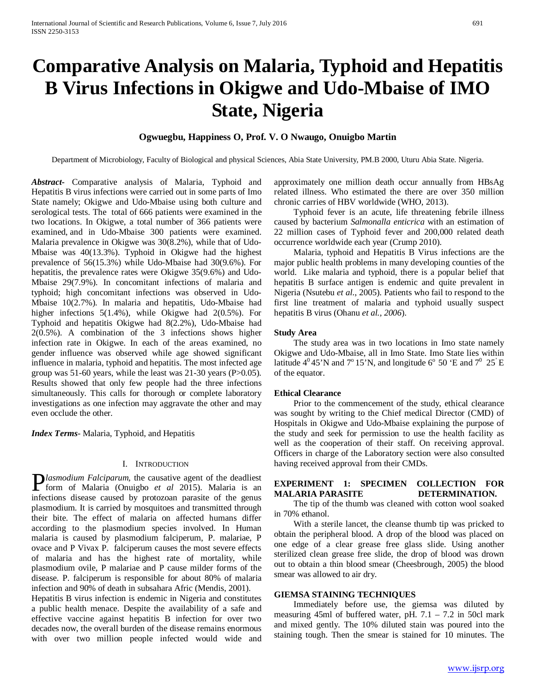# **Comparative Analysis on Malaria, Typhoid and Hepatitis B Virus Infections in Okigwe and Udo-Mbaise of IMO State, Nigeria**

# **Ogwuegbu, Happiness O, Prof. V. O Nwaugo, Onuigbo Martin**

Department of Microbiology, Faculty of Biological and physical Sciences, Abia State University, PM.B 2000, Uturu Abia State. Nigeria.

*Abstract***-** Comparative analysis of Malaria, Typhoid and Hepatitis B virus infections were carried out in some parts of Imo State namely; Okigwe and Udo-Mbaise using both culture and serological tests. The total of 666 patients were examined in the two locations. In Okigwe, a total number of 366 patients were examined, and in Udo-Mbaise 300 patients were examined. Malaria prevalence in Okigwe was 30(8.2%), while that of Udo-Mbaise was 40(13.3%). Typhoid in Okigwe had the highest prevalence of 56(15.3%) while Udo-Mbaise had 30(9.6%). For hepatitis, the prevalence rates were Okigwe 35(9.6%) and Udo-Mbaise 29(7.9%). In concomitant infections of malaria and typhoid; high concomitant infections was observed in Udo-Mbaise 10(2.7%). In malaria and hepatitis, Udo-Mbaise had higher infections 5(1.4%), while Okigwe had 2(0.5%). For Typhoid and hepatitis Okigwe had 8(2.2%), Udo-Mbaise had 2(0.5%). A combination of the 3 infections shows higher infection rate in Okigwe. In each of the areas examined, no gender influence was observed while age showed significant influence in malaria, typhoid and hepatitis. The most infected age group was 51-60 years, while the least was 21-30 years (P>0.05). Results showed that only few people had the three infections simultaneously. This calls for thorough or complete laboratory investigations as one infection may aggravate the other and may even occlude the other.

*Index Terms*- Malaria, Typhoid, and Hepatitis

#### I. INTRODUCTION

*lasmodium Falciparum,* the causative agent of the deadliest **F**lasmodium Falciparum, the causative agent of the deadliest form of Malaria (Onuigbo *et al* 2015). Malaria is an infections disease caused by protozoan parasite of the genus plasmodium. It is carried by mosquitoes and transmitted through their bite. The effect of malaria on affected humans differ according to the plasmodium species involved. In Human malaria is caused by plasmodium falciperum, P. malariae, P ovace and P Vivax P. falciperum causes the most severe effects of malaria and has the highest rate of mortality, while plasmodium ovile, P malariae and P cause milder forms of the disease. P. falciperum is responsible for about 80% of malaria infection and 90% of death in subsahara Afric (Mendis, 2001).

Hepatitis B virus infection is endemic in Nigeria and constitutes a public health menace. Despite the availability of a safe and effective vaccine against hepatitis B infection for over two decades now, the overall burden of the disease remains enormous with over two million people infected would wide and

approximately one million death occur annually from HBsAg related illness. Who estimated the there are over 350 million chronic carries of HBV worldwide (WHO, 2013).

 Typhoid fever is an acute, life threatening febrile illness caused by bacterium *Salmonalla enticrica* with an estimation of 22 million cases of Typhoid fever and 200,000 related death occurrence worldwide each year (Crump 2010).

 Malaria, typhoid and Hepatitis B Virus infections are the major public health problems in many developing counties of the world. Like malaria and typhoid, there is a popular belief that hepatitis B surface antigen is endemic and quite prevalent in Nigeria (Nsutebu *et al*., 2005). Patients who fail to respond to the first line treatment of malaria and typhoid usually suspect hepatitis B virus (Ohanu *et al., 2006*).

#### **Study Area**

 The study area was in two locations in Imo state namely Okigwe and Udo-Mbaise, all in Imo State. Imo State lies within latitude  $4^{\circ}$ 45'N and  $7^{\circ}$  15'N, and longitude 6 $^{\circ}$  50 'E and  $7^{\circ}$  25 E of the equator.

#### **Ethical Clearance**

 Prior to the commencement of the study, ethical clearance was sought by writing to the Chief medical Director (CMD) of Hospitals in Okigwe and Udo-Mbaise explaining the purpose of the study and seek for permission to use the health facility as well as the cooperation of their staff. On receiving approval. Officers in charge of the Laboratory section were also consulted having received approval from their CMDs.

# **EXPERIMENT 1: SPECIMEN COLLECTION FOR MALARIA PARASITE DETERMINATION.**

 The tip of the thumb was cleaned with cotton wool soaked in 70% ethanol.

 With a sterile lancet, the cleanse thumb tip was pricked to obtain the peripheral blood. A drop of the blood was placed on one edge of a clear grease free glass slide. Using another sterilized clean grease free slide, the drop of blood was drown out to obtain a thin blood smear (Cheesbrough, 2005) the blood smear was allowed to air dry.

#### **GIEMSA STAINING TECHNIQUES**

 Immediately before use, the giemsa was diluted by measuring 45ml of buffered water, pH.  $7.1 - 7.2$  in 50cl mark and mixed gently. The 10% diluted stain was poured into the staining tough. Then the smear is stained for 10 minutes. The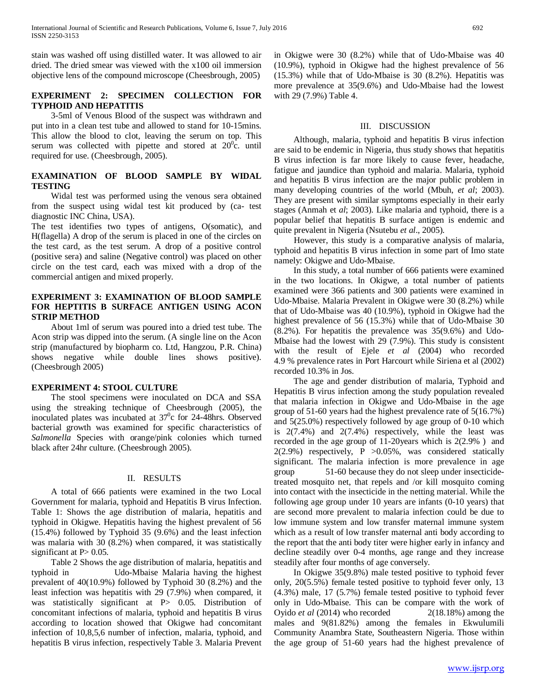stain was washed off using distilled water. It was allowed to air dried. The dried smear was viewed with the x100 oil immersion objective lens of the compound microscope (Cheesbrough, 2005)

# **EXPERIMENT 2: SPECIMEN COLLECTION FOR TYPHOID AND HEPATITIS**

 3-5ml of Venous Blood of the suspect was withdrawn and put into in a clean test tube and allowed to stand for 10-15mins. This allow the blood to clot, leaving the serum on top. This serum was collected with pipette and stored at  $20^{\circ}$ c. until required for use. (Cheesbrough, 2005).

# **EXAMINATION OF BLOOD SAMPLE BY WIDAL TESTING**

 Widal test was performed using the venous sera obtained from the suspect using widal test kit produced by (ca- test diagnostic INC China, USA).

The test identifies two types of antigens, O(somatic), and H(flagella) A drop of the serum is placed in one of the circles on the test card, as the test serum. A drop of a positive control (positive sera) and saline (Negative control) was placed on other circle on the test card, each was mixed with a drop of the commercial antigen and mixed properly.

# **EXPERIMENT 3: EXAMINATION OF BLOOD SAMPLE FOR HEPTITIS B SURFACE ANTIGEN USING ACON STRIP METHOD**

 About 1ml of serum was poured into a dried test tube. The Acon strip was dipped into the serum. (A single line on the Acon strip (manufactured by biopharm co. Ltd, Hangzou, P.R. China) shows negative while double lines shows positive). (Cheesbrough 2005)

## **EXPERIMENT 4: STOOL CULTURE**

 The stool specimens were inoculated on DCA and SSA using the streaking technique of Cheesbrough (2005), the inoculated plates was incubated at  $37^\circ$ c for 24-48hrs. Observed bacterial growth was examined for specific characteristics of *Salmonella* Species with orange/pink colonies which turned black after 24hr culture. (Cheesbrough 2005).

## II. RESULTS

 A total of 666 patients were examined in the two Local Government for malaria, typhoid and Hepatitis B virus Infection. Table 1: Shows the age distribution of malaria, hepatitis and typhoid in Okigwe. Hepatitis having the highest prevalent of 56 (15.4%) followed by Typhoid 35 (9.6%) and the least infection was malaria with 30 (8.2%) when compared, it was statistically significant at  $P > 0.05$ .

 Table 2 Shows the age distribution of malaria, hepatitis and typhoid in Udo-Mbaise Malaria having the highest prevalent of 40(10.9%) followed by Typhoid 30 (8.2%) and the least infection was hepatitis with 29 (7.9%) when compared, it was statistically significant at P> 0.05. Distribution of concomitant infections of malaria, typhoid and hepatitis B virus according to location showed that Okigwe had concomitant infection of 10,8,5,6 number of infection, malaria, typhoid, and hepatitis B virus infection, respectively Table 3. Malaria Prevent in Okigwe were 30 (8.2%) while that of Udo-Mbaise was 40 (10.9%), typhoid in Okigwe had the highest prevalence of 56 (15.3%) while that of Udo-Mbaise is 30 (8.2%). Hepatitis was more prevalence at 35(9.6%) and Udo-Mbaise had the lowest with 29 (7.9%) Table 4.

# III. DISCUSSION

 Although, malaria, typhoid and hepatitis B virus infection are said to be endemic in Nigeria, thus study shows that hepatitis B virus infection is far more likely to cause fever, headache, fatigue and jaundice than typhoid and malaria. Malaria, typhoid and hepatitis B virus infection are the major public problem in many developing countries of the world (Mbuh, *et al*; 2003). They are present with similar symptoms especially in their early stages (Anmah et *al*; 2003). Like malaria and typhoid, there is a popular belief that hepatitis B surface antigen is endemic and quite prevalent in Nigeria (Nsutebu *et al*., 2005).

 However, this study is a comparative analysis of malaria, typhoid and hepatitis B virus infection in some part of Imo state namely: Okigwe and Udo-Mbaise.

 In this study, a total number of 666 patients were examined in the two locations. In Okigwe, a total number of patients examined were 366 patients and 300 patients were examined in Udo-Mbaise. Malaria Prevalent in Okigwe were 30 (8.2%) while that of Udo-Mbaise was 40 (10.9%), typhoid in Okigwe had the highest prevalence of 56 (15.3%) while that of Udo-Mbaise 30 (8.2%). For hepatitis the prevalence was 35(9.6%) and Udo-Mbaise had the lowest with 29 (7.9%). This study is consistent with the result of Ejele *et al* (2004) who recorded 4.9 % prevalence rates in Port Harcourt while Siriena et al (2002) recorded 10.3% in Jos.

 The age and gender distribution of malaria, Typhoid and Hepatitis B virus infection among the study population revealed that malaria infection in Okigwe and Udo-Mbaise in the age group of 51-60 years had the highest prevalence rate of 5(16.7%) and 5(25.0%) respectively followed by age group of 0-10 which is 2(7.4%) and 2(7.4%) respectively, while the least was recorded in the age group of 11-20years which is 2(2.9% ) and 2(2.9%) respectively, P >0.05%, was considered statically significant. The malaria infection is more prevalence in age group 51-60 because they do not sleep under insecticidetreated mosquito net, that repels and /or kill mosquito coming into contact with the insecticide in the netting material. While the following age group under 10 years are infants (0-10 years) that are second more prevalent to malaria infection could be due to low immune system and low transfer maternal immune system which as a result of low transfer maternal anti body according to the report that the anti body titer were higher early in infancy and decline steadily over 0-4 months, age range and they increase steadily after four months of age conversely.

 In Okigwe 35(9.8%) male tested positive to typhoid fever only, 20(5.5%) female tested positive to typhoid fever only, 13 (4.3%) male, 17 (5.7%) female tested positive to typhoid fever only in Udo-Mbaise. This can be compare with the work of Oyido *et al* (2014) who recorded 2(18.18%) among the males and 9(81.82%) among the females in Ekwulumili Community Anambra State, Southeastern Nigeria. Those within the age group of 51-60 years had the highest prevalence of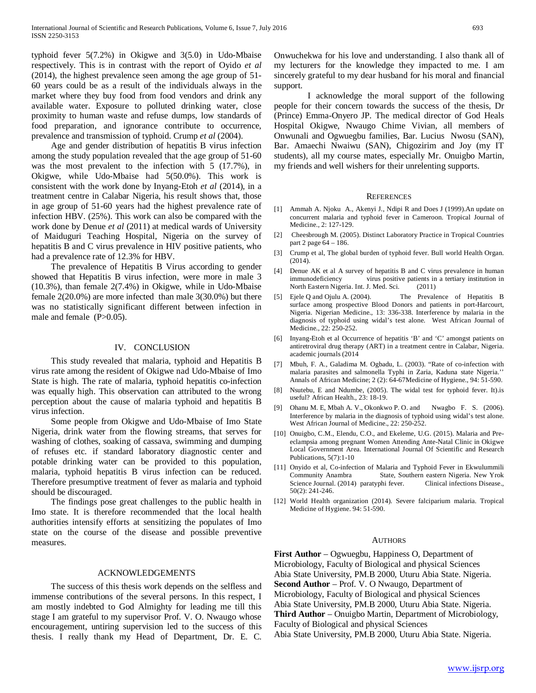typhoid fever 5(7.2%) in Okigwe and 3(5.0) in Udo-Mbaise respectively. This is in contrast with the report of Oyido *et al* (2014), the highest prevalence seen among the age group of 51- 60 years could be as a result of the individuals always in the market where they buy food from food vendors and drink any available water. Exposure to polluted drinking water, close proximity to human waste and refuse dumps, low standards of food preparation, and ignorance contribute to occurrence, prevalence and transmission of typhoid. Crump *et al* (2004).

 Age and gender distribution of hepatitis B virus infection among the study population revealed that the age group of 51-60 was the most prevalent to the infection with 5 (17.7%), in Okigwe, while Udo-Mbaise had 5(50.0%). This work is consistent with the work done by Inyang-Etoh *et al* (2014), in a treatment centre in Calabar Nigeria, his result shows that, those in age group of 51-60 years had the highest prevalence rate of infection HBV. (25%). This work can also be compared with the work done by Denue *et al* (2011) at medical wards of University of Maiduguri Teaching Hospital, Nigeria on the survey of hepatitis B and C virus prevalence in HIV positive patients, who had a prevalence rate of 12.3% for HBV.

 The prevalence of Hepatitis B Virus according to gender showed that Hepatitis B virus infection, were more in male 3 (10.3%), than female 2(7.4%) in Okigwe, while in Udo-Mbaise female 2(20.0%) are more infected than male 3(30.0%) but there was no statistically significant different between infection in male and female (P>0.05).

#### IV. CONCLUSION

 This study revealed that malaria, typhoid and Hepatitis B virus rate among the resident of Okigwe nad Udo-Mbaise of Imo State is high. The rate of malaria, typhoid hepatitis co-infection was equally high. This observation can attributed to the wrong perception about the cause of malaria typhoid and hepatitis B virus infection.

 Some people from Okigwe and Udo-Mbaise of Imo State Nigeria, drink water from the flowing streams, that serves for washing of clothes, soaking of cassava, swimming and dumping of refuses etc. if standard laboratory diagnostic center and potable drinking water can be provided to this population, malaria, typhoid hepatitis B virus infection can be reduced. Therefore presumptive treatment of fever as malaria and typhoid should be discouraged.

 The findings pose great challenges to the public health in Imo state. It is therefore recommended that the local health authorities intensify efforts at sensitizing the populates of Imo state on the course of the disease and possible preventive measures.

#### ACKNOWLEDGEMENTS

 The success of this thesis work depends on the selfless and immense contributions of the several persons. In this respect, I am mostly indebted to God Almighty for leading me till this stage I am grateful to my supervisor Prof. V. O. Nwaugo whose encouragement, untiring supervision led to the success of this thesis. I really thank my Head of Department, Dr. E. C.

Onwuchekwa for his love and understanding. I also thank all of my lecturers for the knowledge they impacted to me. I am sincerely grateful to my dear husband for his moral and financial support.

I acknowledge the moral support of the following people for their concern towards the success of the thesis, Dr (Prince) Emma-Onyero JP. The medical director of God Heals Hospital Okigwe, Nwaugo Chime Vivian, all members of Onwunali and Ogwuegbu families, Bar. Lucius Nwosu (SAN), Bar. Amaechi Nwaiwu (SAN), Chigozirim and Joy (my IT students), all my course mates, especially Mr. Onuigbo Martin, my friends and well wishers for their unrelenting supports.

#### **REFERENCES**

- [1] Ammah A. Njoku A., Akenyi J., Ndipi R and Does J (1999).An update on concurrent malaria and typhoid fever in Cameroon. Tropical Journal of Medicine., 2: 127-129.
- [2] Cheesbrough M. (2005). Distinct Laboratory Practice in Tropical Countries part 2 page 64 – 186.
- [3] Crump et al, The global burden of typhoid fever. Bull world Health Organ. (2014).
- [4] Denue AK et al A survey of hepatitis B and C virus prevalence in human immunodeficiency virus positive patients in a tertiary institution in North Eastern Nigeria. Int. J. Med. Sci. (2011)
- [5] Ejele Q and Ojulu A. (2004). The Prevalence of Hepatitis B surface among prospective Blood Donors and patients in port-Harcourt, Nigeria. Nigerian Medicine., 13: 336-338. Interference by malaria in the diagnosis of typhoid using widal's test alone. West African Journal of Medicine., 22: 250-252.
- [6] Inyang-Etoh et al Occurrence of hepatitis 'B' and 'C' amongst patients on antiretroviral drug therapy (ART) in a treatment centre in Calabar, Nigeria. academic journals (2014
- [7] Mbuh, F. A., Galadima M. Ogbadu, L. (2003). "Rate of co-infection with malaria parasites and salmonella Typhi in Zaria, Kaduna state Nigeria.'' Annals of African Medicine; 2 (2): 64-67Medicine of Hygiene., 94: 51-590.
- [8] Nsutebu, E and Ndumbe, (2005). The widal test for typhoid fever. It).is useful? African Health., 23: 18-19.
- [9] Ohanu M. E, Mbah A. V., Okonkwo P. O. and Nwagbo F. S. (2006). Interference by malaria in the diagnosis of typhoid using widal's test alone. West African Journal of Medicine., 22: 250-252.
- [10] Onuigbo, C.M., Elendu, C.O., and Ekeleme, U.G. (2015). Malaria and Preeclampsia among pregnant Women Attending Ante-Natal Clinic in Okigwe Local Government Area. International Journal Of Scientific and Research Publications, 5(7):1-10
- [11] Onyido et al, Co-infection of Malaria and Typhoid Fever in Ekwulummili Community Anambra State, Southern eastern Nigeria. New Yrok Science Journal. (2014) paratyphi fever. Clinical infections Disease., 50(2): 241-246.
- [12] World Health organization (2014). Severe falciparium malaria. Tropical Medicine of Hygiene. 94: 51-590.

#### **AUTHORS**

**First Author** – Ogwuegbu, Happiness O, Department of Microbiology, Faculty of Biological and physical Sciences Abia State University, PM.B 2000, Uturu Abia State. Nigeria. **Second Author** – Prof. V. O Nwaugo, Department of Microbiology, Faculty of Biological and physical Sciences Abia State University, PM.B 2000, Uturu Abia State. Nigeria. **Third Author** – Onuigbo Martin, Department of Microbiology, Faculty of Biological and physical Sciences Abia State University, PM.B 2000, Uturu Abia State. Nigeria.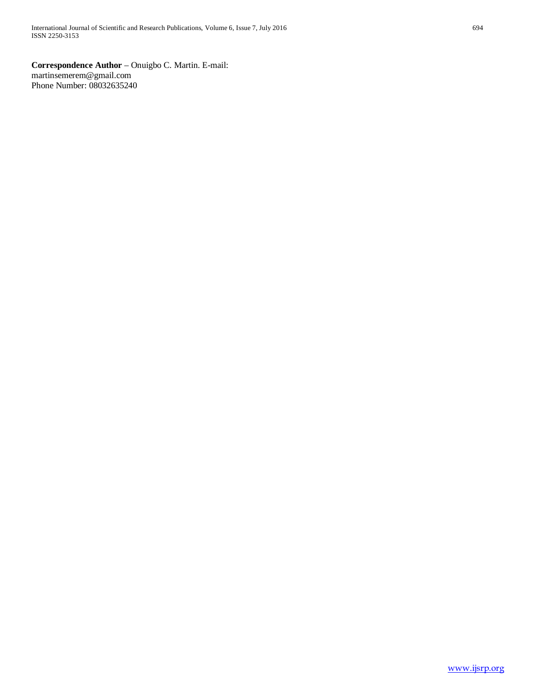**Correspondence Author** – Onuigbo C. Martin. E-mail: martinsemerem@gmail.com Phone Number: 08032635240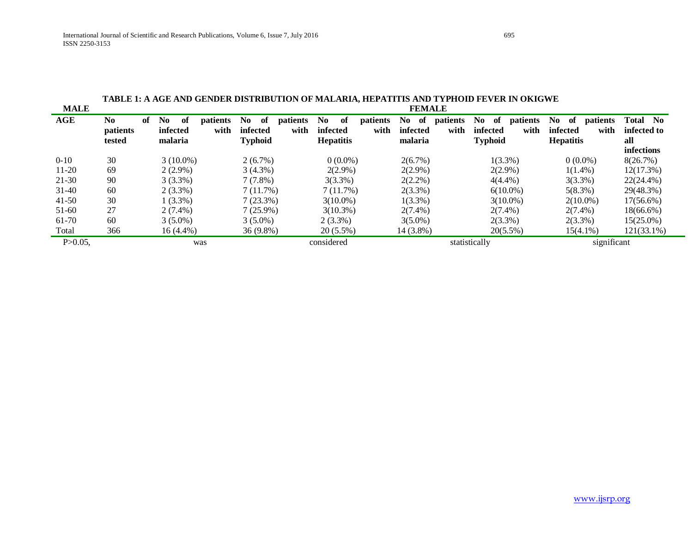|              | TADLE 1. A AGE AND GENDER DISTRIBUTION OF MALARIA, HETATITIS AND TITHOID FEVER IN ORIGWE |    |                            |             |                         |                                                    |                         |                                                      |                         |                                    |                         |                                          |                         |                                                      |                         |                                                             |
|--------------|------------------------------------------------------------------------------------------|----|----------------------------|-------------|-------------------------|----------------------------------------------------|-------------------------|------------------------------------------------------|-------------------------|------------------------------------|-------------------------|------------------------------------------|-------------------------|------------------------------------------------------|-------------------------|-------------------------------------------------------------|
| <b>MALE</b>  | <b>FEMALE</b>                                                                            |    |                            |             |                         |                                                    |                         |                                                      |                         |                                    |                         |                                          |                         |                                                      |                         |                                                             |
| <b>AGE</b>   | No.<br>patients<br>tested                                                                | of | No.<br>infected<br>malaria | of          | <i>patients</i><br>with | N <sub>0</sub><br>of<br>infected<br><b>Typhoid</b> | <i>patients</i><br>with | N <sub>0</sub><br>of<br>infected<br><b>Hepatitis</b> | <i>patients</i><br>with | No.<br>- of<br>infected<br>malaria | <i>patients</i><br>with | No.<br>-of<br>infected<br><b>Typhoid</b> | <i>patients</i><br>with | N <sub>0</sub><br>of<br>infected<br><b>Hepatitis</b> | <i>patients</i><br>with | Total<br>N <sub>0</sub><br>infected to<br>all<br>infections |
| $0 - 10$     | 30                                                                                       |    |                            | $3(10.0\%)$ |                         | $2(6.7\%)$                                         |                         | $0(0.0\%)$                                           |                         | $2(6.7\%)$                         |                         |                                          | $1(3.3\%)$              | $0(0.0\%)$                                           |                         | 8(26.7%)                                                    |
| $11-20$      | 69                                                                                       |    |                            | $2(2.9\%)$  |                         | $3(4.3\%)$                                         |                         | $2(2.9\%)$                                           |                         | $2(2.9\%)$                         |                         |                                          | $2(2.9\%)$              | $1(1.4\%)$                                           |                         | 12(17.3%)                                                   |
| 21-30        | 90                                                                                       |    |                            | $3(3.3\%)$  |                         | $7(7.8\%)$                                         |                         | $3(3.3\%)$                                           |                         | $2(2.2\%)$                         |                         |                                          | $4(4.4\%)$              | $3(3.3\%)$                                           |                         | 22(24.4%)                                                   |
| $31-40$      | 60                                                                                       |    |                            | $2(3.3\%)$  |                         | 7(11.7%)                                           |                         | 7(11.7%)                                             |                         | $2(3.3\%)$                         |                         |                                          | $6(10.0\%)$             | $5(8.3\%)$                                           |                         | 29(48.3%)                                                   |
| $41-50$      | 30                                                                                       |    |                            | 1 (3.3%)    |                         | $7(23.3\%)$                                        |                         | $3(10.0\%)$                                          |                         | $1(3.3\%)$                         |                         |                                          | $3(10.0\%)$             |                                                      | $2(10.0\%)$             | $17(56.6\%)$                                                |
| 51-60        | 27                                                                                       |    |                            | $2(7.4\%)$  |                         | $7(25.9\%)$                                        |                         | $3(10.3\%)$                                          |                         | $2(7.4\%)$                         |                         |                                          | $2(7.4\%)$              | $2(7.4\%)$                                           |                         | $18(66.6\%)$                                                |
| 61-70        | 60                                                                                       |    |                            | $3(5.0\%)$  |                         | $3(5.0\%)$                                         |                         | $2(3.3\%)$                                           |                         | $3(5.0\%)$                         |                         |                                          | $2(3.3\%)$              | $2(3.3\%)$                                           |                         | $15(25.0\%)$                                                |
| Total        | 366                                                                                      |    |                            | 16 (4.4%)   |                         | $36(9.8\%)$                                        |                         | $20(5.5\%)$                                          |                         | 14 (3.8%)                          |                         |                                          | $20(5.5\%)$             |                                                      | $15(4.1\%)$             | $121(33.1\%)$                                               |
| $P > 0.05$ . |                                                                                          |    |                            |             | was                     |                                                    |                         | considered                                           |                         |                                    |                         | statistically                            |                         |                                                      | significant             |                                                             |

**TABLE 1: A AGE AND GENDER DISTRIBUTION OF MALARIA, HEPATITIS AND TYPHOID FEVER IN OKIGWE**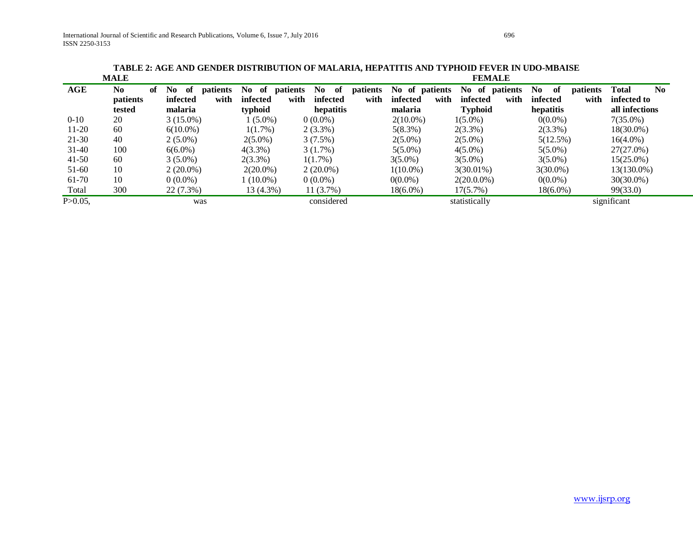**TABLE 2: AGE AND GENDER DISTRIBUTION OF MALARIA, HEPATITIS AND TYPHOID FEVER IN UDO-MBAISE**

|              | <b>MALE</b>          |                      |                       |             |          |                  | <b>FEMALE</b>     |                                           |                                |
|--------------|----------------------|----------------------|-----------------------|-------------|----------|------------------|-------------------|-------------------------------------------|--------------------------------|
| <b>AGE</b>   | N <sub>0</sub><br>of | No<br>of<br>patients | No.<br>of<br>patients | No.<br>- of | patients | No of patients   | No of<br>patients | N <sub>0</sub><br>- of<br><i>patients</i> | <b>Total</b><br>N <sub>0</sub> |
|              | patients             | with<br>infected     | with<br>infected      | infected    | with     | with<br>infected | infected<br>with  | with<br>infected                          | infected to                    |
|              | tested               | malaria              | typhoid               | hepatitis   |          | malaria          | <b>Typhoid</b>    | hepatitis                                 | all infections                 |
| $0 - 10$     | 20                   | $3(15.0\%)$          | $(5.0\%)$             | $0(0.0\%)$  |          | $2(10.0\%)$      | $1(5.0\%)$        | $0(0.0\%)$                                | $7(35.0\%)$                    |
| $11-20$      | 60                   | $6(10.0\%)$          | $1(1.7\%)$            | $2(3.3\%)$  |          | 5(8.3%)          | $2(3.3\%)$        | $2(3.3\%)$                                | $18(30.0\%)$                   |
| $21 - 30$    | 40                   | $2(5.0\%)$           | $2(5.0\%)$            | $3(7.5\%)$  |          | $2(5.0\%)$       | $2(5.0\%)$        | 5(12.5%)                                  | $16(4.0\%)$                    |
| $31 - 40$    | 100                  | $6(6.0\%)$           | $4(3.3\%)$            | $3(1.7\%)$  |          | $5(5.0\%)$       | $4(5.0\%)$        | $5(5.0\%)$                                | 27(27.0%)                      |
| $41-50$      | 60                   | $3(5.0\%)$           | $2(3.3\%)$            | $1(1.7\%)$  |          | $3(5.0\%)$       | $3(5.0\%)$        | $3(5.0\%)$                                | $15(25.0\%)$                   |
| $51-60$      | 10                   | $2(20.0\%)$          | $2(20.0\%)$           | $2(20.0\%)$ |          | $1(10.0\%)$      | $3(30.01\%)$      | $3(30.0\%)$                               | 13(130.0%)                     |
| 61-70        | 10                   | $0(0.0\%)$           | $1(10.0\%)$           | $0(0.0\%)$  |          | $0(0.0\%)$       | $2(20.0.0\%)$     | $0(0.0\%)$                                | $30(30.0\%)$                   |
| Total        | 300                  | 22(7.3%)             | $13(4.3\%)$           | 11(3.7%)    |          | $18(6.0\%)$      | 17(5.7%)          | $18(6.0\%)$                               | 99(33.0)                       |
| $P > 0.05$ . |                      | was                  |                       | considered  |          |                  | statistically     |                                           | significant                    |